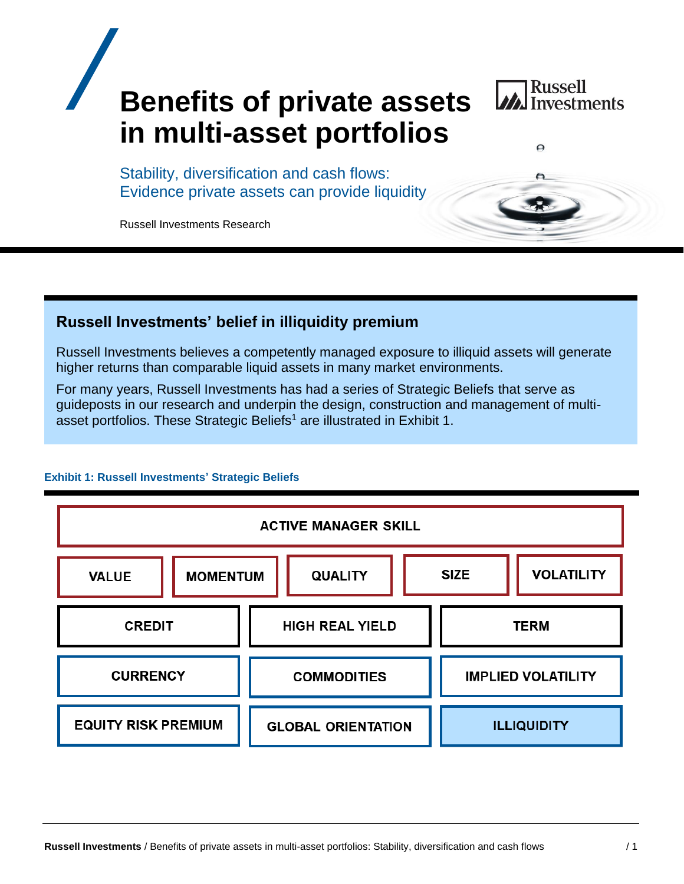# **Benefits of private assets in multi-asset portfolios**

# *M* Russell<br>**M** Investments

 $\Omega$ 

Stability, diversification and cash flows: Evidence private assets can provide liquidity

Russell Investments Research

# **Russell Investments' belief in illiquidity premium**

Russell Investments believes a competently managed exposure to illiquid assets will generate higher returns than comparable liquid assets in many market environments.

For many years, Russell Investments has had a series of Strategic Beliefs that serve as guideposts in our research and underpin the design, construction and management of multiasset portfolios. These Strategic Beliefs<sup>1</sup> are illustrated in Exhibit 1.

#### **Exhibit 1: Russell Investments' Strategic Beliefs**

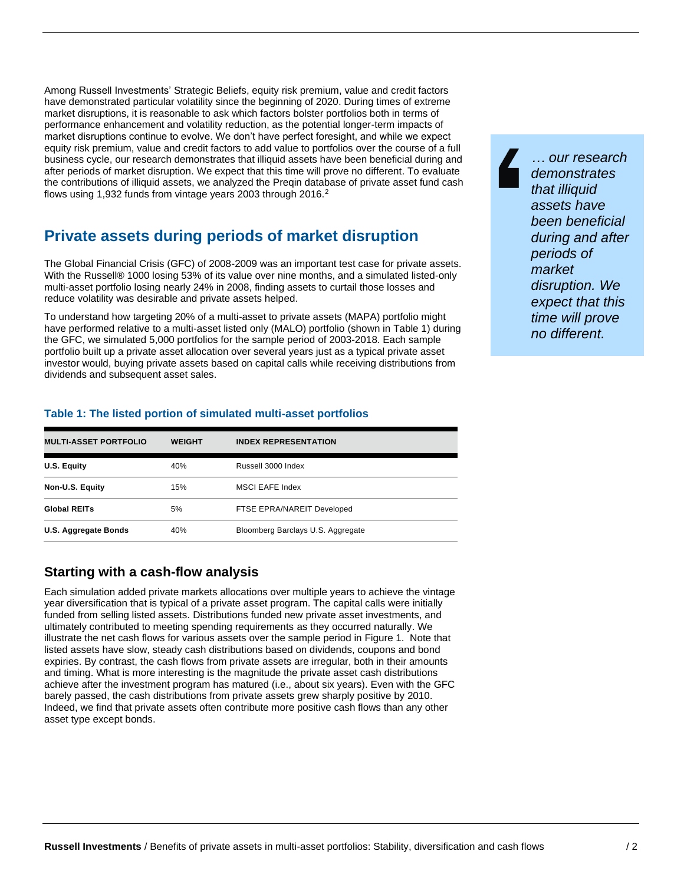Among Russell Investments' Strategic Beliefs, equity risk premium, value and credit factors have demonstrated particular volatility since the beginning of 2020. During times of extreme market disruptions, it is reasonable to ask which factors bolster portfolios both in terms of performance enhancement and volatility reduction, as the potential longer-term impacts of market disruptions continue to evolve. We don't have perfect foresight, and while we expect equity risk premium, value and credit factors to add value to portfolios over the course of a full business cycle, our research demonstrates that illiquid assets have been beneficial during and after periods of market disruption. We expect that this time will prove no different. To evaluate the contributions of illiquid assets, we analyzed the Preqin database of private asset fund cash flows using 1,932 funds from vintage years 2003 through 2016.<sup>2</sup>

# **Private assets during periods of market disruption**

The Global Financial Crisis (GFC) of 2008-2009 was an important test case for private assets. With the Russell® 1000 losing 53% of its value over nine months, and a simulated listed-only multi-asset portfolio losing nearly 24% in 2008, finding assets to curtail those losses and reduce volatility was desirable and private assets helped.

To understand how targeting 20% of a multi-asset to private assets (MAPA) portfolio might have performed relative to a multi-asset listed only (MALO) portfolio (shown in Table 1) during the GFC, we simulated 5,000 portfolios for the sample period of 2003-2018. Each sample portfolio built up a private asset allocation over several years just as a typical private asset investor would, buying private assets based on capital calls while receiving distributions from dividends and subsequent asset sales.

*… our research demonstrates that illiquid assets have been beneficial during and after periods of market disruption. We expect that this time will prove no different.*

# **Table 1: The listed portion of simulated multi-asset portfolios**

| <b>MULTI-ASSET PORTFOLIO</b> | <b>WEIGHT</b> | <b>INDEX REPRESENTATION</b>       |
|------------------------------|---------------|-----------------------------------|
| U.S. Equity                  | 40%           | Russell 3000 Index                |
| Non-U.S. Equity              | 15%           | MSCI EAFE Index                   |
| <b>Global REITs</b>          | 5%            | FTSE EPRA/NAREIT Developed        |
| U.S. Aggregate Bonds         | 40%           | Bloomberg Barclays U.S. Aggregate |

#### **Starting with a cash-flow analysis**

Each simulation added private markets allocations over multiple years to achieve the vintage year diversification that is typical of a private asset program. The capital calls were initially funded from selling listed assets. Distributions funded new private asset investments, and ultimately contributed to meeting spending requirements as they occurred naturally. We illustrate the net cash flows for various assets over the sample period in Figure 1. Note that listed assets have slow, steady cash distributions based on dividends, coupons and bond expiries. By contrast, the cash flows from private assets are irregular, both in their amounts and timing. What is more interesting is the magnitude the private asset cash distributions achieve after the investment program has matured (i.e., about six years). Even with the GFC barely passed, the cash distributions from private assets grew sharply positive by 2010. Indeed, we find that private assets often contribute more positive cash flows than any other asset type except bonds.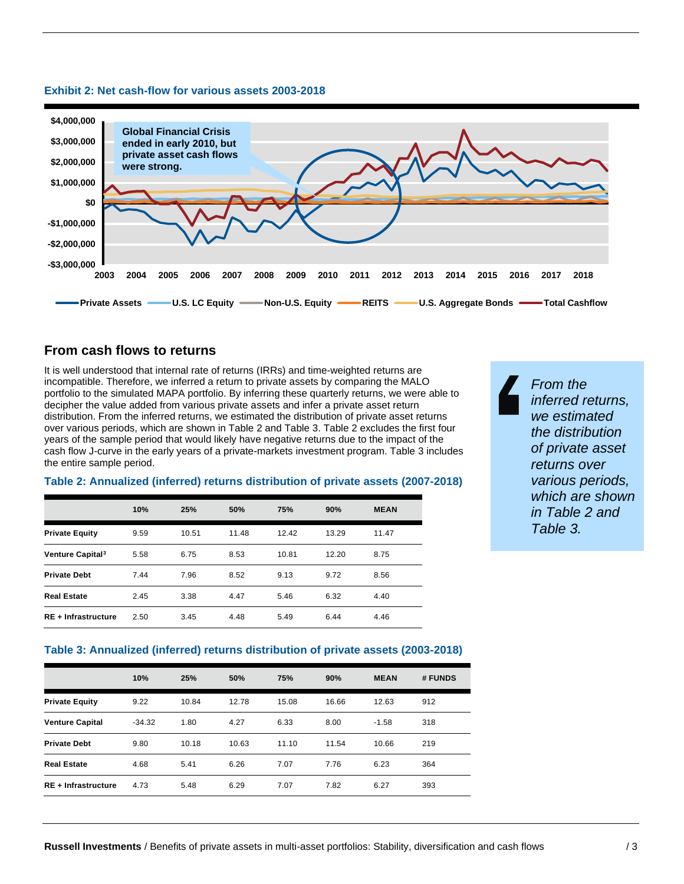



#### **From cash flows to returns**

It is well understood that internal rate of returns (IRRs) and time-weighted returns are incompatible. Therefore, we inferred a return to private assets by comparing the MALO portfolio to the simulated MAPA portfolio. By inferring these quarterly returns, we were able to decipher the value added from various private assets and infer a private asset return distribution. From the inferred returns, we estimated the distribution of private asset returns over various periods, which are shown in Table 2 and Table 3. Table 2 excludes the first four years of the sample period that would likely have negative returns due to the impact of the cash flow J-curve in the early years of a private-markets investment program. Table 3 includes the entire sample period.

#### **Table 2: Annualized (inferred) returns distribution of private assets (2007-2018)**

|                              | 10%  | 25%   | 50%   | 75%   | 90%   | <b>MEAN</b> |
|------------------------------|------|-------|-------|-------|-------|-------------|
| <b>Private Equity</b>        | 9.59 | 10.51 | 11.48 | 12.42 | 13.29 | 11.47       |
| Venture Capital <sup>3</sup> | 5.58 | 6.75  | 8.53  | 10.81 | 12.20 | 8.75        |
| <b>Private Debt</b>          | 7.44 | 7.96  | 8.52  | 9.13  | 9.72  | 8.56        |
| <b>Real Estate</b>           | 2.45 | 3.38  | 4.47  | 5.46  | 6.32  | 4.40        |
| <b>RE</b> + Infrastructure   | 2.50 | 3.45  | 4.48  | 5.49  | 6.44  | 4.46        |

*From the inferred returns, we estimated the distribution of private asset returns over various periods, which are shown in Table 2 and Table 3.*

#### **Table 3: Annualized (inferred) returns distribution of private assets (2003-2018)**

|                            | 10%      | 25%   | 50%   | 75%   | 90%   | <b>MEAN</b> | # FUNDS |
|----------------------------|----------|-------|-------|-------|-------|-------------|---------|
| <b>Private Equity</b>      | 9.22     | 10.84 | 12.78 | 15.08 | 16.66 | 12.63       | 912     |
| <b>Venture Capital</b>     | $-34.32$ | 1.80  | 4.27  | 6.33  | 8.00  | $-1.58$     | 318     |
| <b>Private Debt</b>        | 9.80     | 10.18 | 10.63 | 11.10 | 11.54 | 10.66       | 219     |
| <b>Real Estate</b>         | 4.68     | 5.41  | 6.26  | 7.07  | 7.76  | 6.23        | 364     |
| <b>RE</b> + Infrastructure | 4.73     | 5.48  | 6.29  | 7.07  | 7.82  | 6.27        | 393     |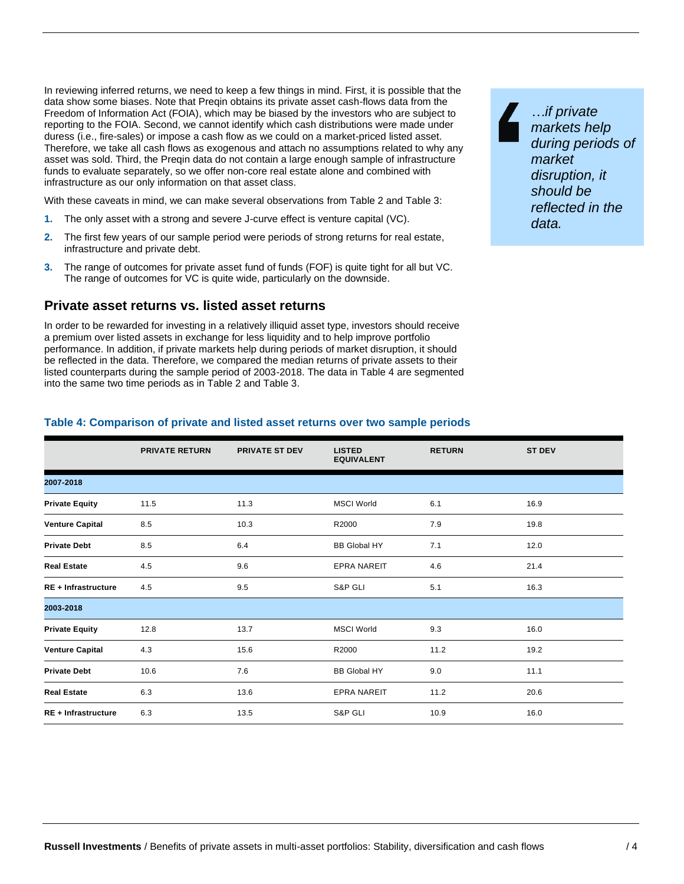In reviewing inferred returns, we need to keep a few things in mind. First, it is possible that the data show some biases. Note that Preqin obtains its private asset cash-flows data from the Freedom of Information Act (FOIA), which may be biased by the investors who are subject to reporting to the FOIA. Second, we cannot identify which cash distributions were made under duress (i.e., fire-sales) or impose a cash flow as we could on a market-priced listed asset. Therefore, we take all cash flows as exogenous and attach no assumptions related to why any asset was sold. Third, the Preqin data do not contain a large enough sample of infrastructure funds to evaluate separately, so we offer non-core real estate alone and combined with infrastructure as our only information on that asset class.

With these caveats in mind, we can make several observations from Table 2 and Table 3:

- **1.** The only asset with a strong and severe J-curve effect is venture capital (VC).
- **2.** The first few years of our sample period were periods of strong returns for real estate, infrastructure and private debt.
- **3.** The range of outcomes for private asset fund of funds (FOF) is quite tight for all but VC. The range of outcomes for VC is quite wide, particularly on the downside.

#### **Private asset returns vs. listed asset returns**

In order to be rewarded for investing in a relatively illiquid asset type, investors should receive a premium over listed assets in exchange for less liquidity and to help improve portfolio performance. In addition, if private markets help during periods of market disruption, it should be reflected in the data. Therefore, we compared the median returns of private assets to their listed counterparts during the sample period of 2003-2018. The data in Table 4 are segmented into the same two time periods as in Table 2 and Table 3.

*…if private markets help during periods of market disruption, it should be reflected in the data.*

#### **Table 4: Comparison of private and listed asset returns over two sample periods**

|                            | <b>PRIVATE RETURN</b> | <b>PRIVATE ST DEV</b> | <b>LISTED</b><br><b>EQUIVALENT</b> | <b>RETURN</b> | <b>ST DEV</b> |
|----------------------------|-----------------------|-----------------------|------------------------------------|---------------|---------------|
| 2007-2018                  |                       |                       |                                    |               |               |
| <b>Private Equity</b>      | 11.5                  | 11.3                  | <b>MSCI World</b>                  | 6.1           | 16.9          |
| <b>Venture Capital</b>     | 8.5                   | 10.3                  | R2000                              | 7.9           | 19.8          |
| <b>Private Debt</b>        | 8.5                   | 6.4                   | <b>BB Global HY</b>                | 7.1           | 12.0          |
| <b>Real Estate</b>         | 4.5                   | 9.6                   | <b>EPRA NAREIT</b>                 | 4.6           | 21.4          |
| <b>RE + Infrastructure</b> | 4.5                   | 9.5                   | S&P GLI                            | 5.1           | 16.3          |
| 2003-2018                  |                       |                       |                                    |               |               |
| <b>Private Equity</b>      | 12.8                  | 13.7                  | <b>MSCI World</b>                  | 9.3           | 16.0          |
| <b>Venture Capital</b>     | 4.3                   | 15.6                  | R2000                              | 11.2          | 19.2          |
| <b>Private Debt</b>        | 10.6                  | 7.6                   | <b>BB Global HY</b>                | 9.0           | 11.1          |
| <b>Real Estate</b>         | 6.3                   | 13.6                  | <b>EPRA NAREIT</b>                 | 11.2          | 20.6          |
| <b>RE + Infrastructure</b> | 6.3                   | 13.5                  | S&P GLI                            | 10.9          | 16.0          |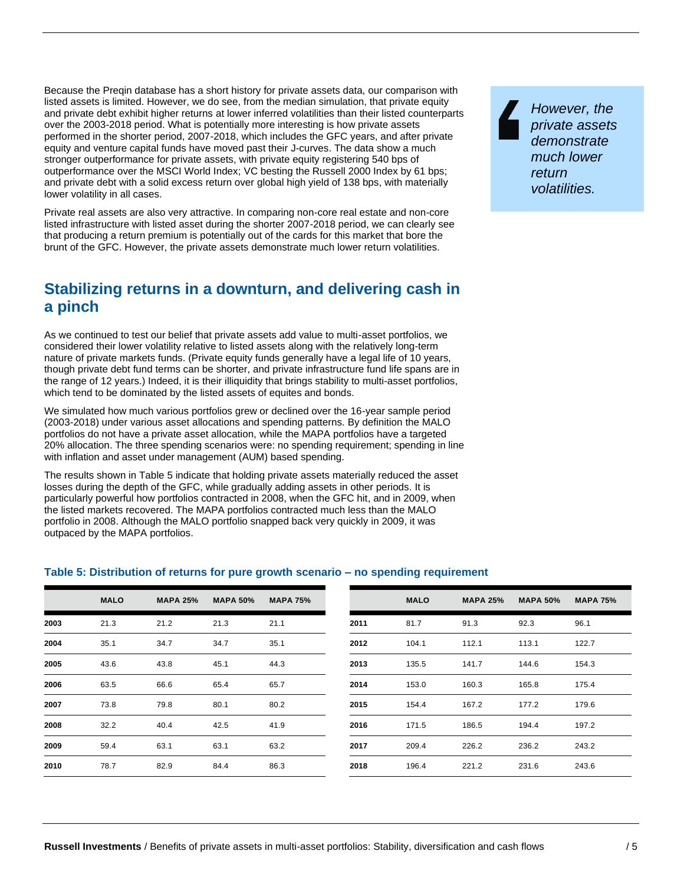Because the Preqin database has a short history for private assets data, our comparison with listed assets is limited. However, we do see, from the median simulation, that private equity and private debt exhibit higher returns at lower inferred volatilities than their listed counterparts over the 2003-2018 period. What is potentially more interesting is how private assets performed in the shorter period, 2007-2018, which includes the GFC years, and after private equity and venture capital funds have moved past their J-curves. The data show a much stronger outperformance for private assets, with private equity registering 540 bps of outperformance over the MSCI World Index; VC besting the Russell 2000 Index by 61 bps; and private debt with a solid excess return over global high yield of 138 bps, with materially lower volatility in all cases.

Private real assets are also very attractive. In comparing non-core real estate and non-core listed infrastructure with listed asset during the shorter 2007-2018 period, we can clearly see that producing a return premium is potentially out of the cards for this market that bore the brunt of the GFC. However, the private assets demonstrate much lower return volatilities.

# **Stabilizing returns in a downturn, and delivering cash in a pinch**

As we continued to test our belief that private assets add value to multi-asset portfolios, we considered their lower volatility relative to listed assets along with the relatively long-term nature of private markets funds. (Private equity funds generally have a legal life of 10 years, though private debt fund terms can be shorter, and private infrastructure fund life spans are in the range of 12 years.) Indeed, it is their illiquidity that brings stability to multi-asset portfolios, which tend to be dominated by the listed assets of equites and bonds.

We simulated how much various portfolios grew or declined over the 16-year sample period (2003-2018) under various asset allocations and spending patterns. By definition the MALO portfolios do not have a private asset allocation, while the MAPA portfolios have a targeted 20% allocation. The three spending scenarios were: no spending requirement; spending in line with inflation and asset under management (AUM) based spending.

The results shown in Table 5 indicate that holding private assets materially reduced the asset losses during the depth of the GFC, while gradually adding assets in other periods. It is particularly powerful how portfolios contracted in 2008, when the GFC hit, and in 2009, when the listed markets recovered. The MAPA portfolios contracted much less than the MALO portfolio in 2008. Although the MALO portfolio snapped back very quickly in 2009, it was outpaced by the MAPA portfolios.

#### **MALO MAPA 25% MAPA 50% MAPA 75%**

**Table 5: Distribution of returns for pure growth scenario – no spending requirement**

|      | <b>MALO</b> | <b>MAPA 25%</b> | <b>MAPA 50%</b> | <b>MAPA 75%</b> |      | <b>MALO</b> | <b>MAPA 25%</b> | <b>MAPA 50%</b> |
|------|-------------|-----------------|-----------------|-----------------|------|-------------|-----------------|-----------------|
| 2003 | 21.3        | 21.2            | 21.3            | 21.1            | 2011 | 81.7        | 91.3            | 92.3            |
| 2004 | 35.1        | 34.7            | 34.7            | 35.1            | 2012 | 104.1       | 112.1           | 113.1           |
| 2005 | 43.6        | 43.8            | 45.1            | 44.3            | 2013 | 135.5       | 141.7           | 144.6           |
| 2006 | 63.5        | 66.6            | 65.4            | 65.7            | 2014 | 153.0       | 160.3           | 165.8           |
| 2007 | 73.8        | 79.8            | 80.1            | 80.2            | 2015 | 154.4       | 167.2           | 177.2           |
| 2008 | 32.2        | 40.4            | 42.5            | 41.9            | 2016 | 171.5       | 186.5           | 194.4           |
| 2009 | 59.4        | 63.1            | 63.1            | 63.2            | 2017 | 209.4       | 226.2           | 236.2           |
| 2010 | 78.7        | 82.9            | 84.4            | 86.3            | 2018 | 196.4       | 221.2           | 231.6           |
|      |             |                 |                 |                 |      |             |                 |                 |

*However, the private assets demonstrate much lower return volatilities.*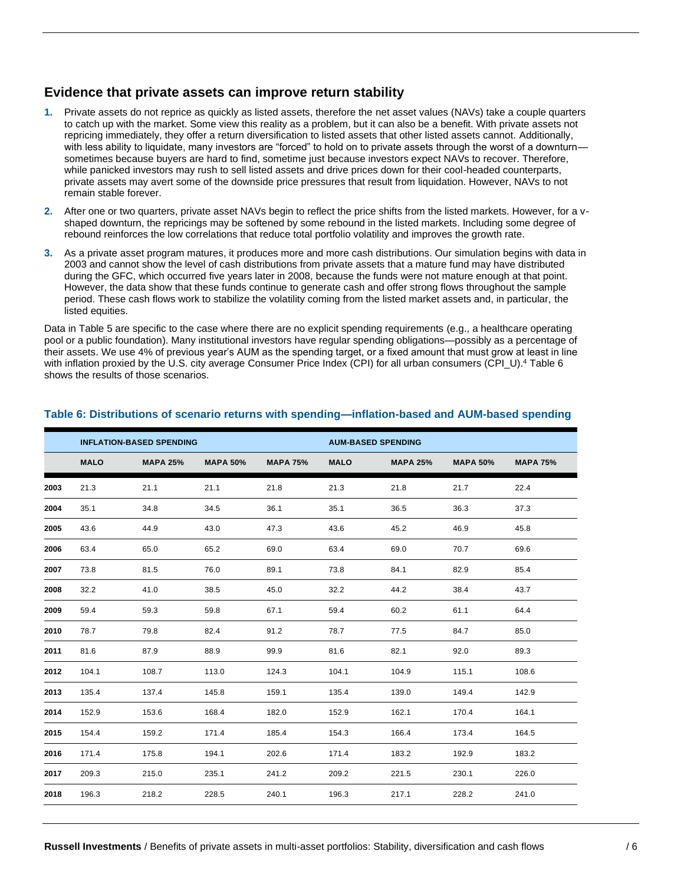#### **Evidence that private assets can improve return stability**

- **1.** Private assets do not reprice as quickly as listed assets, therefore the net asset values (NAVs) take a couple quarters to catch up with the market. Some view this reality as a problem, but it can also be a benefit. With private assets not repricing immediately, they offer a return diversification to listed assets that other listed assets cannot. Additionally, with less ability to liquidate, many investors are "forced" to hold on to private assets through the worst of a downturn sometimes because buyers are hard to find, sometime just because investors expect NAVs to recover. Therefore, while panicked investors may rush to sell listed assets and drive prices down for their cool-headed counterparts, private assets may avert some of the downside price pressures that result from liquidation. However, NAVs to not remain stable forever.
- **2.** After one or two quarters, private asset NAVs begin to reflect the price shifts from the listed markets. However, for a vshaped downturn, the repricings may be softened by some rebound in the listed markets. Including some degree of rebound reinforces the low correlations that reduce total portfolio volatility and improves the growth rate.
- **3.** As a private asset program matures, it produces more and more cash distributions. Our simulation begins with data in 2003 and cannot show the level of cash distributions from private assets that a mature fund may have distributed during the GFC, which occurred five years later in 2008, because the funds were not mature enough at that point. However, the data show that these funds continue to generate cash and offer strong flows throughout the sample period. These cash flows work to stabilize the volatility coming from the listed market assets and, in particular, the listed equities.

Data in Table 5 are specific to the case where there are no explicit spending requirements (e.g., a healthcare operating pool or a public foundation). Many institutional investors have regular spending obligations—possibly as a percentage of their assets. We use 4% of previous year's AUM as the spending target, or a fixed amount that must grow at least in line with inflation proxied by the U.S. city average Consumer Price Index (CPI) for all urban consumers (CPI\_U).<sup>4</sup> Table 6 shows the results of those scenarios.

|      |             | <b>INFLATION-BASED SPENDING</b> |                 |                 | <b>AUM-BASED SPENDING</b> |                 |                 |                 |
|------|-------------|---------------------------------|-----------------|-----------------|---------------------------|-----------------|-----------------|-----------------|
|      | <b>MALO</b> | <b>MAPA 25%</b>                 | <b>MAPA 50%</b> | <b>MAPA 75%</b> | <b>MALO</b>               | <b>MAPA 25%</b> | <b>MAPA 50%</b> | <b>MAPA 75%</b> |
| 2003 | 21.3        | 21.1                            | 21.1            | 21.8            | 21.3                      | 21.8            | 21.7            | 22.4            |
| 2004 | 35.1        | 34.8                            | 34.5            | 36.1            | 35.1                      | 36.5            | 36.3            | 37.3            |
| 2005 | 43.6        | 44.9                            | 43.0            | 47.3            | 43.6                      | 45.2            | 46.9            | 45.8            |
| 2006 | 63.4        | 65.0                            | 65.2            | 69.0            | 63.4                      | 69.0            | 70.7            | 69.6            |
| 2007 | 73.8        | 81.5                            | 76.0            | 89.1            | 73.8                      | 84.1            | 82.9            | 85.4            |
| 2008 | 32.2        | 41.0                            | 38.5            | 45.0            | 32.2                      | 44.2            | 38.4            | 43.7            |
| 2009 | 59.4        | 59.3                            | 59.8            | 67.1            | 59.4                      | 60.2            | 61.1            | 64.4            |
| 2010 | 78.7        | 79.8                            | 82.4            | 91.2            | 78.7                      | 77.5            | 84.7            | 85.0            |
| 2011 | 81.6        | 87.9                            | 88.9            | 99.9            | 81.6                      | 82.1            | 92.0            | 89.3            |
| 2012 | 104.1       | 108.7                           | 113.0           | 124.3           | 104.1                     | 104.9           | 115.1           | 108.6           |
| 2013 | 135.4       | 137.4                           | 145.8           | 159.1           | 135.4                     | 139.0           | 149.4           | 142.9           |
| 2014 | 152.9       | 153.6                           | 168.4           | 182.0           | 152.9                     | 162.1           | 170.4           | 164.1           |
| 2015 | 154.4       | 159.2                           | 171.4           | 185.4           | 154.3                     | 166.4           | 173.4           | 164.5           |
| 2016 | 171.4       | 175.8                           | 194.1           | 202.6           | 171.4                     | 183.2           | 192.9           | 183.2           |
| 2017 | 209.3       | 215.0                           | 235.1           | 241.2           | 209.2                     | 221.5           | 230.1           | 226.0           |
| 2018 | 196.3       | 218.2                           | 228.5           | 240.1           | 196.3                     | 217.1           | 228.2           | 241.0           |

#### **Table 6: Distributions of scenario returns with spending—inflation-based and AUM-based spending**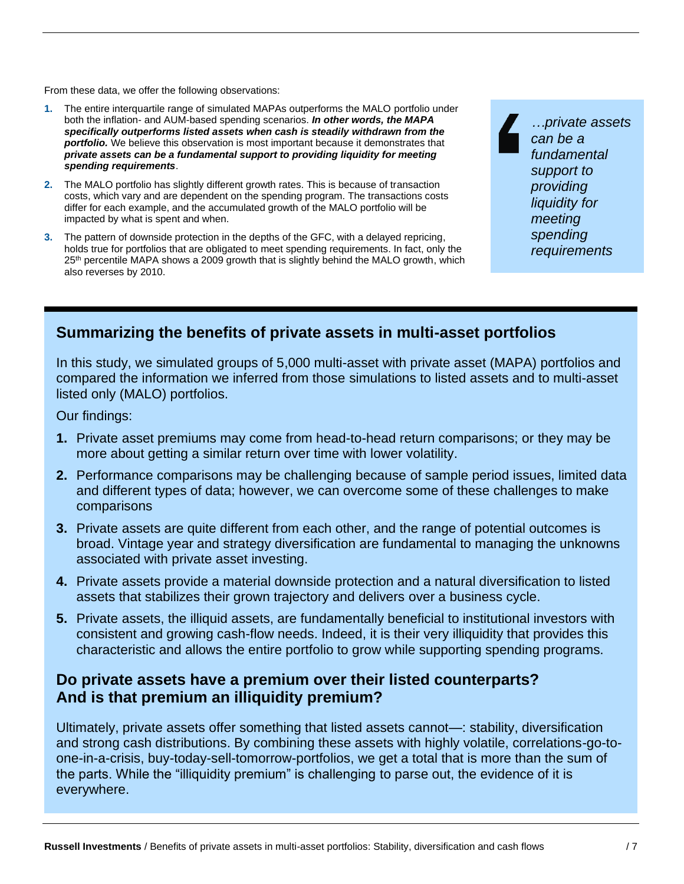From these data, we offer the following observations:

- **1.** The entire interquartile range of simulated MAPAs outperforms the MALO portfolio under both the inflation- and AUM-based spending scenarios. *In other words, the MAPA specifically outperforms listed assets when cash is steadily withdrawn from the*  **portfolio.** We believe this observation is most important because it demonstrates that *private assets can be a fundamental support to providing liquidity for meeting spending requirements*.
- **2.** The MALO portfolio has slightly different growth rates. This is because of transaction costs, which vary and are dependent on the spending program. The transactions costs differ for each example, and the accumulated growth of the MALO portfolio will be impacted by what is spent and when.
- **3.** The pattern of downside protection in the depths of the GFC, with a delayed repricing, holds true for portfolios that are obligated to meet spending requirements. In fact, only the 25<sup>th</sup> percentile MAPA shows a 2009 growth that is slightly behind the MALO growth, which also reverses by 2010.

*…private assets can be a fundamental support to providing liquidity for meeting spending requirements*

# **Summarizing the benefits of private assets in multi-asset portfolios**

In this study, we simulated groups of 5,000 multi-asset with private asset (MAPA) portfolios and compared the information we inferred from those simulations to listed assets and to multi-asset listed only (MALO) portfolios.

Our findings:

- **1.** Private asset premiums may come from head-to-head return comparisons; or they may be more about getting a similar return over time with lower volatility.
- **2.** Performance comparisons may be challenging because of sample period issues, limited data and different types of data; however, we can overcome some of these challenges to make comparisons
- **3.** Private assets are quite different from each other, and the range of potential outcomes is broad. Vintage year and strategy diversification are fundamental to managing the unknowns associated with private asset investing.
- **4.** Private assets provide a material downside protection and a natural diversification to listed assets that stabilizes their grown trajectory and delivers over a business cycle.
- **5.** Private assets, the illiquid assets, are fundamentally beneficial to institutional investors with consistent and growing cash-flow needs. Indeed, it is their very illiquidity that provides this characteristic and allows the entire portfolio to grow while supporting spending programs.

### **Do private assets have a premium over their listed counterparts? And is that premium an illiquidity premium?**

Ultimately, private assets offer something that listed assets cannot—: stability, diversification and strong cash distributions. By combining these assets with highly volatile, correlations-go-toone-in-a-crisis, buy-today-sell-tomorrow-portfolios, we get a total that is more than the sum of the parts. While the "illiquidity premium" is challenging to parse out, the evidence of it is everywhere.